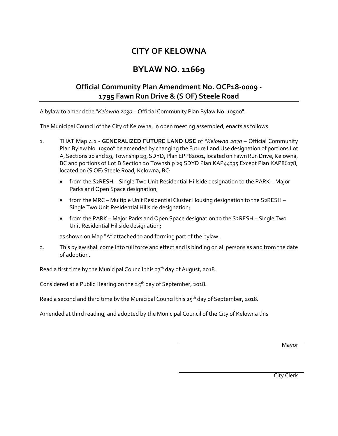## **CITY OF KELOWNA**

## **BYLAW NO. 11669**

## **Official Community Plan Amendment No. OCP18-0009 - 1795 Fawn Run Drive & (S OF) Steele Road**

A bylaw to amend the "*Kelowna 2030* – Official Community Plan Bylaw No. 10500".

The Municipal Council of the City of Kelowna, in open meeting assembled, enacts as follows:

- 1. THAT Map 4.1 **GENERALIZED FUTURE LAND USE** of "*Kelowna 2030* Official Community Plan Bylaw No. 10500" be amended by changing the Future Land Use designation of portions Lot A, Sections 20 and 29, Township 29, SDYD, Plan EPP82001, located on Fawn Run Drive, Kelowna, BC and portions of Lot B Section 20 Township 29 SDYD Plan KAP44335 Except Plan KAP86178, located on (S OF) Steele Road, Kelowna, BC:
	- from the S2RESH Single Two Unit Residential Hillside designation to the PARK Major Parks and Open Space designation;
	- from the MRC Multiple Unit Residential Cluster Housing designation to the S2RESH Single Two Unit Residential Hillside designation;
	- from the PARK Major Parks and Open Space designation to the S2RESH Single Two Unit Residential Hillside designation;

as shown on Map "A" attached to and forming part of the bylaw.

2. This bylaw shall come into full force and effect and is binding on all persons as and from the date of adoption.

Read a first time by the Municipal Council this  $27<sup>th</sup>$  day of August, 2018.

Considered at a Public Hearing on the  $25<sup>th</sup>$  day of September, 2018.

Read a second and third time by the Municipal Council this  $25<sup>th</sup>$  day of September, 2018.

Amended at third reading, and adopted by the Municipal Council of the City of Kelowna this

Mayor

City Clerk